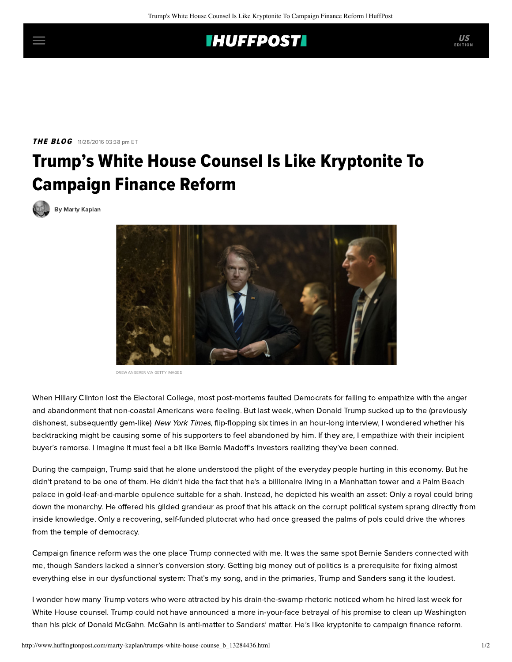## **IHUFFPOSTI**

**THE BLOG** 11/28/2016 03:38 pm ET

## Trump's White House Counsel Is Like Kryptonite To Campaign Finance Reform



[By Marty Kaplan](http://www.huffingtonpost.com/author/marty-kaplan)



DREW ANGERER VIA GETTY IMAGES

When Hillary Clinton lost the Electoral College, most post-mortems faulted Democrats for failing to empathize with the anger and abandonment that non-coastal Americans were feeling. But last week, when Donald Trump sucked up to the (previously dishonest, subsequently gem-like) New York Times, [flip-flopping six times](https://www.yahoo.com/news/trump-flip-flops-6-times-in-1-hour-nyt-interview-203417722.html) in an hour-long interview, I wondered whether his backtracking might be causing some of his supporters to feel abandoned by him. If they are, I empathize with their incipient buyer's remorse. I imagine it must feel a bit like Bernie Madoff's investors realizing they've been conned.

During the campaign, Trump said that he alone understood the plight of the everyday people hurting in this economy. But he didn't pretend to be one of them. He didn't hide the fact that he's a billionaire living in a Manhattan tower and a Palm Beach palace in gold-leaf-and-marble opulence suitable for a shah. Instead, he depicted his wealth an asset: Only a royal could bring down the monarchy. He offered his gilded grandeur as proof that his attack on the corrupt political system sprang directly from inside knowledge. Only a recovering, self-funded plutocrat who had once greased the palms of pols could drive the whores from the temple of democracy.

Campaign finance reform was the one place Trump connected with me. It was the same spot Bernie Sanders connected with me, though Sanders lacked a sinner's conversion story. Getting big money out of politics is a prerequisite for fixing almost everything else in our dysfunctional system: That's my song, and in the primaries, Trump and Sanders sang it the loudest.

I wonder how many Trump voters who were attracted by his drain-the-swamp rhetoric noticed whom he hired last week for White House counsel. Trump could not have announced a more in-your-face betrayal of his promise to clean up Washington than his pick of Donald McGahn. McGahn is anti-matter to Sanders' matter. He's like kryptonite to campaign finance reform.

US